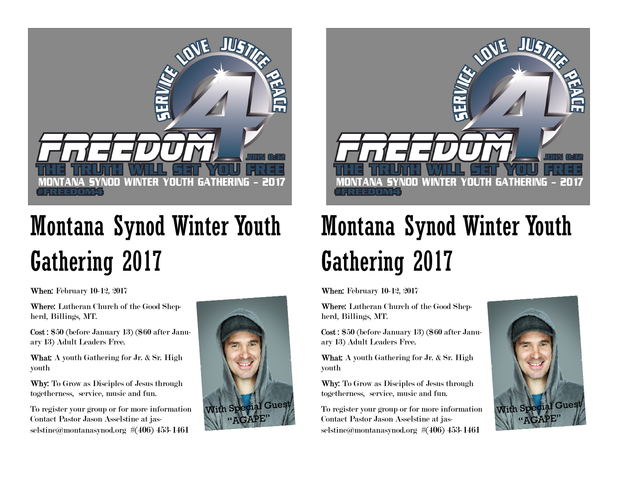

## Montana Synod Winter Youth Gathering 2017

**When:** February 10-12, 2017

Where: Lutheran Church of the Good Shepherd, Billings, MT.

Cost : \$50 (before January 13) (\$60 after January 13) Adult Leaders Free.

What: A youth Gathering for Jr. & Sr. High youth

Why: To Grow as Disciples of Jesus through togetherness, service, music and fun.

To register your group or for more information Contact Pastor Jason Asselstine at jasselstine@montanasynod.org #(406) 453-1461





## Montana Synod Winter Youth Gathering 2017

When: February 10-12, 2017

Where: Lutheran Church of the Good Shepherd, Billings, MT.

Cost : \$50 (before January 13) (\$60 after January 13) Adult Leaders Free.

What: A youth Gathering for Jr. & Sr. High youth

Why: To Grow as Disciples of Jesus through togetherness, service, music and fun.

To register your group or for more information Contact Pastor Jason Asselstine at jasselstine@montanasynod.org #(406) 453-1461